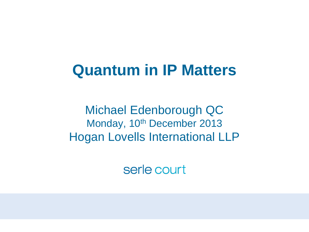### **Quantum in IP Matters**

Michael Edenborough QC Monday, 10<sup>th</sup> December 2013 Hogan Lovells International LLP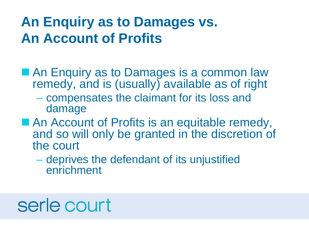### **An Enquiry as to Damages vs. An Account of Profits**

- **An Enquiry as to Damages is a common law** remedy, and is (usually) available as of right
	- compensates the claimant for its loss and damage
- An Account of Profits is an equitable remedy, and so will only be granted in the discretion of the court
	- deprives the defendant of its unjustified enrichment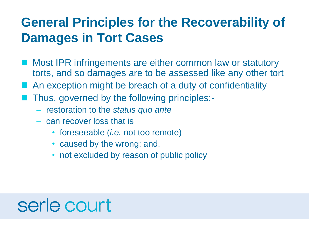### **General Principles for the Recoverability of Damages in Tort Cases**

- **Most IPR infringements are either common law or statutory** torts, and so damages are to be assessed like any other tort
- An exception might be breach of a duty of confidentiality
- Thus, governed by the following principles:-
	- restoration to the *status quo ante*
	- can recover loss that is
		- foreseeable (*i.e.* not too remote)
		- caused by the wrong; and,
		- not excluded by reason of public policy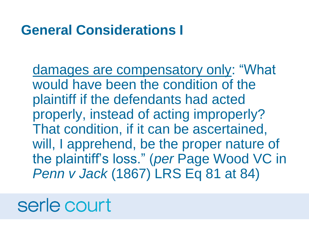#### **General Considerations I**

damages are compensatory only: "What would have been the condition of the plaintiff if the defendants had acted properly, instead of acting improperly? That condition, if it can be ascertained, will, I apprehend, be the proper nature of the plaintiff's loss." (*per* Page Wood VC in *Penn v Jack* (1867) LRS Eq 81 at 84)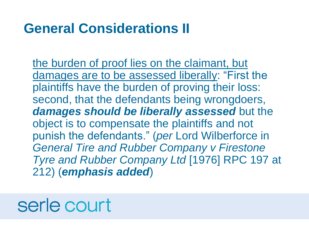### **General Considerations II**

the burden of proof lies on the claimant, but damages are to be assessed liberally: "First the plaintiffs have the burden of proving their loss: second, that the defendants being wrongdoers, *damages should be liberally assessed* but the object is to compensate the plaintiffs and not punish the defendants." (*per* Lord Wilberforce in *General Tire and Rubber Company v Firestone Tyre and Rubber Company Ltd* [1976] RPC 197 at 212) (*emphasis added*)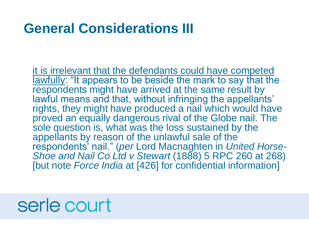### **General Considerations III**

it is irrelevant that the defendants could have competed lawfully: "It appears to be beside the mark to say that the respondents might have arrived at the same result by lawful means and that, without infringing the appellants' rights, they might have produced a nail which would have proved an equally dangerous rival of the Globe nail. The sole question is, what was the loss sustained by the appellants by reason of the unlawful sale of the respondents' nail." (*per* Lord Macnaghten in *United Horse-Shoe and Nail Co Ltd v Stewart* (1888) 5 RPC 260 at 268) [but note *Force India* at [426] for confidential information]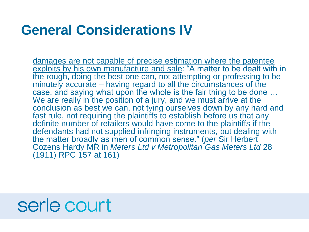#### **General Considerations IV**

damages are not capable of precise estimation where the patentee exploits by his own manufacture and sale: "A matter to be dealt with in the rough, doing the best one can, not attempting or professing to be minutely accurate – having regard to all the circumstances of the case, and saying what upon the whole is the fair thing to be done … We are really in the position of a jury, and we must arrive at the conclusion as best we can, not tying ourselves down by any hard and fast rule, not requiring the plaintiffs to establish before us that any definite number of retailers would have come to the plaintiffs if the defendants had not supplied infringing instruments, but dealing with the matter broadly as men of common sense." (*per* Sir Herbert Cozens Hardy MR in *Meters Ltd v Metropolitan Gas Meters Ltd* 28 (1911) RPC 157 at 161)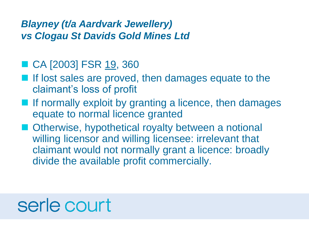#### *Blayney (t/a Aardvark Jewellery) vs Clogau St Davids Gold Mines Ltd*

#### ■ CA [2003] FSR 19, 360

- If lost sales are proved, then damages equate to the claimant's loss of profit
- **If normally exploit by granting a licence, then damages** equate to normal licence granted
- Otherwise, hypothetical royalty between a notional willing licensor and willing licensee: irrelevant that claimant would not normally grant a licence: broadly divide the available profit commercially.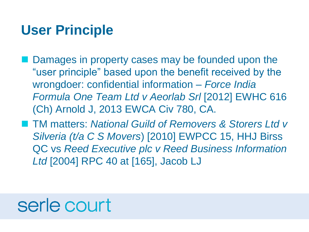### **User Principle**

- **Damages in property cases may be founded upon the** "user principle" based upon the benefit received by the wrongdoer: confidential information – *Force India Formula One Team Ltd v Aeorlab Srl* [2012] EWHC 616 (Ch) Arnold J, 2013 EWCA Civ 780, CA.
- TM matters: *National Guild of Removers & Storers Ltd v Silveria (t/a C S Movers*) [2010] EWPCC 15, HHJ Birss QC vs *Reed Executive plc v Reed Business Information Ltd* [2004] RPC 40 at [165], Jacob LJ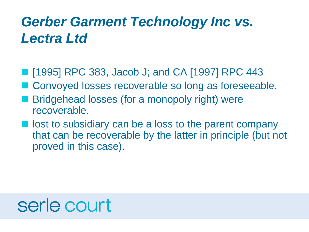### *Gerber Garment Technology Inc vs. Lectra Ltd*

- [1995] RPC 383, Jacob J; and CA [1997] RPC 443
- Convoyed losses recoverable so long as foreseeable.
- Bridgehead losses (for a monopoly right) were recoverable.
- lost to subsidiary can be a loss to the parent company that can be recoverable by the latter in principle (but not proved in this case).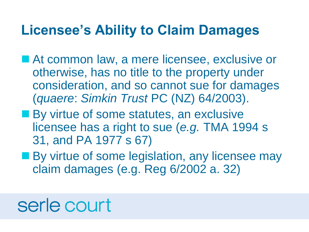#### **Licensee's Ability to Claim Damages**

- At common law, a mere licensee, exclusive or otherwise, has no title to the property under consideration, and so cannot sue for damages (*quaere*: *Simkin Trust* PC (NZ) 64/2003).
- **By virtue of some statutes, an exclusive** licensee has a right to sue (*e.g.* TMA 1994 s 31, and PA 1977 s 67)
- **By virtue of some legislation, any licensee may** claim damages (e.g. Reg 6/2002 a. 32)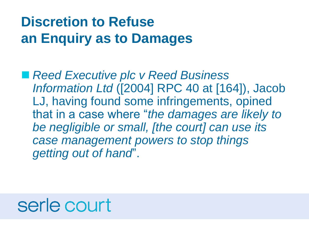### **Discretion to Refuse an Enquiry as to Damages**

■ Reed Executive plc *v* Reed Business *Information Ltd* ([2004] RPC 40 at [164]), Jacob LJ, having found some infringements, opined that in a case where "*the damages are likely to be negligible or small, [the court] can use its case management powers to stop things getting out of hand*".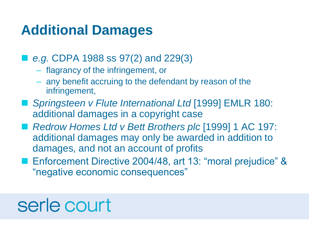### **Additional Damages**

- *e.g.* CDPA 1988 ss 97(2) and 229(3)
	- flagrancy of the infringement, or
	- any benefit accruing to the defendant by reason of the infringement,
- *Springsteen v Flute International Ltd* [1999] EMLR 180: additional damages in a copyright case
- *Redrow Homes Ltd v Bett Brothers plc* [1999] 1 AC 197: additional damages may only be awarded in addition to damages, and not an account of profits
- Enforcement Directive 2004/48, art 13: "moral prejudice" & "negative economic consequences"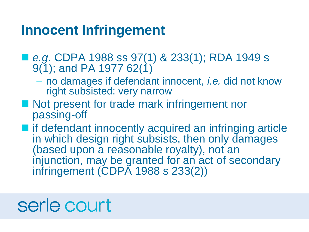#### **Innocent Infringement**

- *e.g.* CDPA 1988 ss 97(1) & 233(1); RDA 1949 s  $9(1)$ ; and PA 1977 62(1)
	- no damages if defendant innocent, *i.e.* did not know right subsisted: very narrow
- Not present for trade mark infringement nor passing-off
- $\blacksquare$  if defendant innocently acquired an infringing article in which design right subsists, then only damages (based upon a reasonable royalty), not an injunction, may be granted for an act of secondary infringement (CDPA 1988 s 233(2))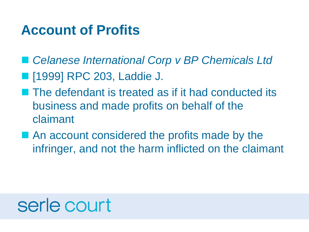### **Account of Profits**

- Celanese International Corp v BP Chemicals Ltd
- **[1999] RPC 203, Laddie J.**
- **The defendant is treated as if it had conducted its** business and made profits on behalf of the claimant
- An account considered the profits made by the infringer, and not the harm inflicted on the claimant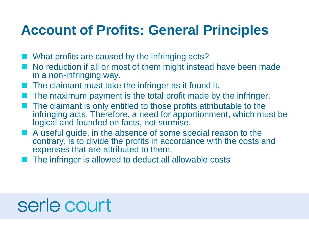### **Account of Profits: General Principles**

- What profits are caused by the infringing acts?
- No reduction if all or most of them might instead have been made in a non-infringing way.
- The claimant must take the infringer as it found it.
- The maximum payment is the total profit made by the infringer.
- The claimant is only entitled to those profits attributable to the infringing acts. Therefore, a need for apportionment, which must be logical and founded on facts, not surmise.
- A useful guide, in the absence of some special reason to the contrary, is to divide the profits in accordance with the costs and expenses that are attributed to them.
- The infringer is allowed to deduct all allowable costs